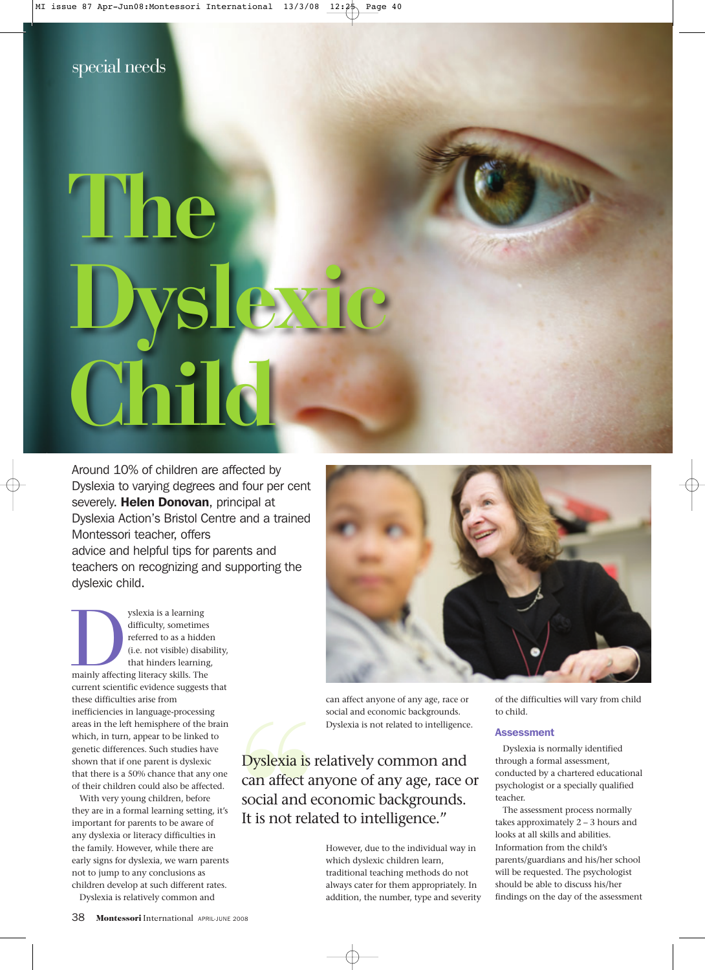# **The Dyslexic Child**

Around 10% of children are affected by Dyslexia to varying degrees and four per cent severely. Helen Donovan, principal at Dyslexia Action's Bristol Centre and a trained Montessori teacher, offers advice and helpful tips for parents and teachers on recognizing and supporting the dyslexic child.

yslexia is a learning<br>difficulty, sometimes<br>referred to as a hidde<br>(i.e. not visible) disal<br>that hinders learning<br>mainly affecting literacy skills. The<br>property skills. difficulty, sometimes referred to as a hidden (i.e. not visible) disability, that hinders learning, current scientific evidence suggests that these difficulties arise from inefficiencies in language-processing areas in the left hemisphere of the brain which, in turn, appear to be linked to genetic differences. Such studies have shown that if one parent is dyslexic that there is a 50% chance that any one of their children could also be affected.

With very young children, before they are in a formal learning setting, it's important for parents to be aware of any dyslexia or literacy difficulties in the family. However, while there are early signs for dyslexia, we warn parents not to jump to any conclusions as children develop at such different rates.

Dyslexia is relatively common and



can affect anyone of any age, race or social and economic backgrounds. Dyslexia is not related to intelligence.

Dyslexia is relatively common and<br>
can affect anyone of any age, race of<br>
social and economic backgrounds.<br>
It is not related to intelligence."<br>
However, due to the individual way<br>
which dyslexic children learn,<br>
tradition can affect anyone of any age, race or social and economic backgrounds. It is not related to intelligence."

However, due to the individual way in which dyslexic children learn, traditional teaching methods do not always cater for them appropriately. In addition, the number, type and severity of the difficulties will vary from child to child.

### **Assessment**

Dyslexia is normally identified through a formal assessment, conducted by a chartered educational psychologist or a specially qualified teacher.

The assessment process normally takes approximately 2 – 3 hours and looks at all skills and abilities. Information from the child's parents/guardians and his/her school will be requested. The psychologist should be able to discuss his/her findings on the day of the assessment